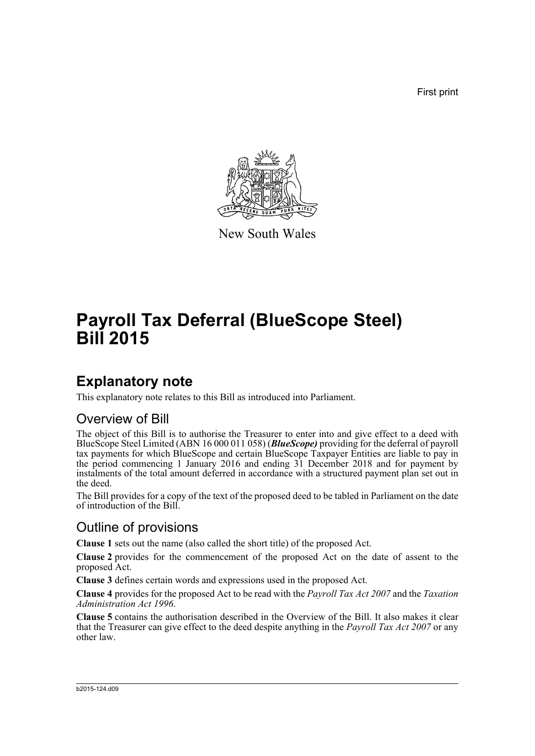First print



New South Wales

# **Payroll Tax Deferral (BlueScope Steel) Bill 2015**

## **Explanatory note**

This explanatory note relates to this Bill as introduced into Parliament.

#### Overview of Bill

The object of this Bill is to authorise the Treasurer to enter into and give effect to a deed with BlueScope Steel Limited (ABN 16 000 011 058) (*BlueScope)* providing for the deferral of payroll tax payments for which BlueScope and certain BlueScope Taxpayer Entities are liable to pay in the period commencing 1 January 2016 and ending 31 December 2018 and for payment by instalments of the total amount deferred in accordance with a structured payment plan set out in the deed.

The Bill provides for a copy of the text of the proposed deed to be tabled in Parliament on the date of introduction of the Bill.

### Outline of provisions

**Clause 1** sets out the name (also called the short title) of the proposed Act.

**Clause 2** provides for the commencement of the proposed Act on the date of assent to the proposed Act.

**Clause 3** defines certain words and expressions used in the proposed Act.

**Clause 4** provides for the proposed Act to be read with the *Payroll Tax Act 2007* and the *Taxation Administration Act 1996*.

**Clause 5** contains the authorisation described in the Overview of the Bill. It also makes it clear that the Treasurer can give effect to the deed despite anything in the *Payroll Tax Act 2007* or any other law.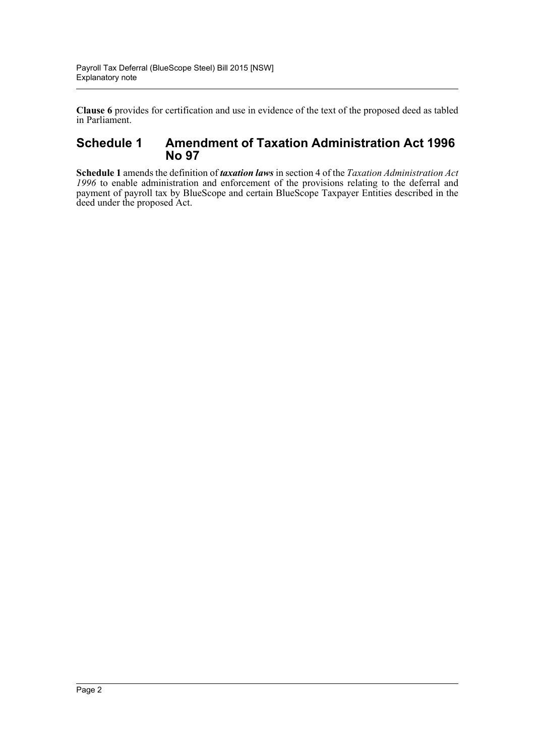**Clause 6** provides for certification and use in evidence of the text of the proposed deed as tabled in Parliament.

#### **Schedule 1 Amendment of Taxation Administration Act 1996 No 97**

**Schedule 1** amends the definition of *taxation laws* in section 4 of the *Taxation Administration Act 1996* to enable administration and enforcement of the provisions relating to the deferral and payment of payroll tax by BlueScope and certain BlueScope Taxpayer Entities described in the deed under the proposed Act.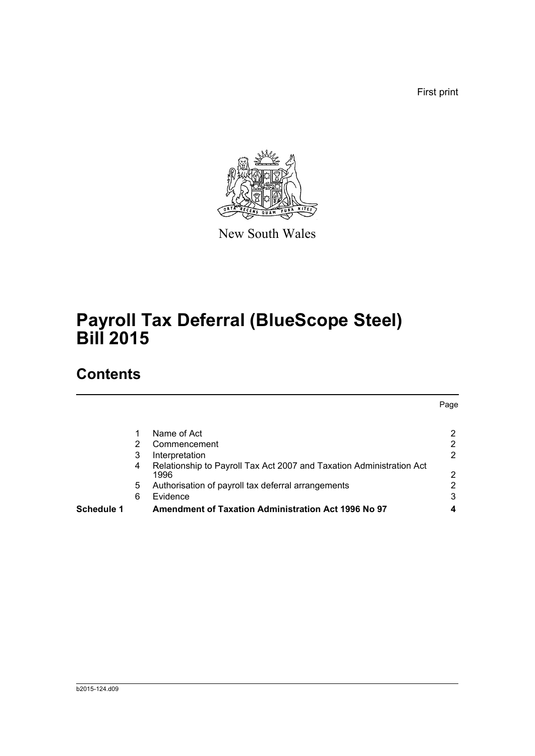First print

Page



New South Wales

# **Payroll Tax Deferral (BlueScope Steel) Bill 2015**

## **Contents**

| <b>Schedule 1</b> |   | <b>Amendment of Taxation Administration Act 1996 No 97</b>                   | 4              |
|-------------------|---|------------------------------------------------------------------------------|----------------|
|                   | 6 | Evidence                                                                     | 3              |
|                   | 5 | Authorisation of payroll tax deferral arrangements                           | $\overline{2}$ |
|                   | 4 | Relationship to Payroll Tax Act 2007 and Taxation Administration Act<br>1996 | 2              |
|                   | 3 | Interpretation                                                               | 2              |
|                   | 2 | Commencement                                                                 | $\overline{2}$ |
|                   |   | Name of Act                                                                  | 2              |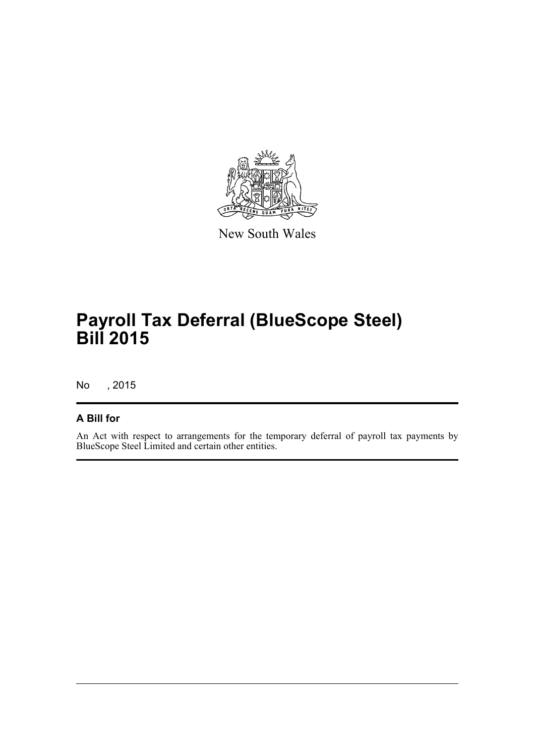

New South Wales

# **Payroll Tax Deferral (BlueScope Steel) Bill 2015**

No , 2015

#### **A Bill for**

An Act with respect to arrangements for the temporary deferral of payroll tax payments by BlueScope Steel Limited and certain other entities.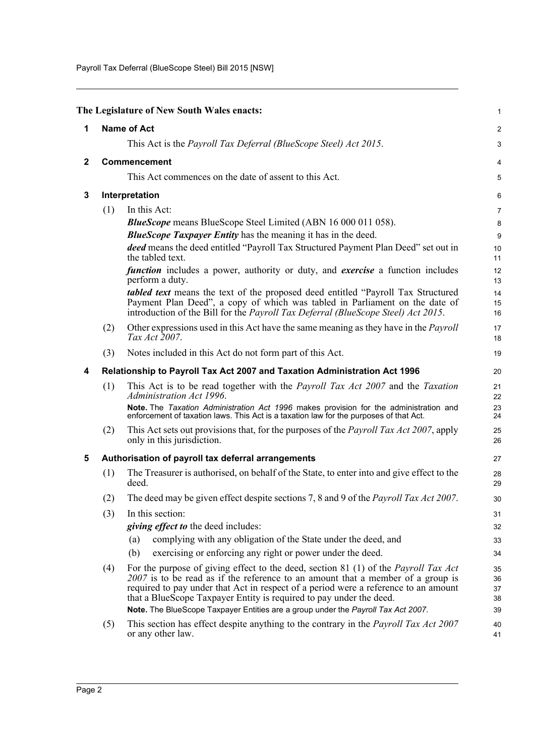Payroll Tax Deferral (BlueScope Steel) Bill 2015 [NSW]

<span id="page-4-4"></span><span id="page-4-3"></span><span id="page-4-2"></span><span id="page-4-1"></span><span id="page-4-0"></span>

|              |                                                    | The Legislature of New South Wales enacts:                                                                                                                                                                                                                                                                                                                                                                                         | $\mathbf{1}$               |  |
|--------------|----------------------------------------------------|------------------------------------------------------------------------------------------------------------------------------------------------------------------------------------------------------------------------------------------------------------------------------------------------------------------------------------------------------------------------------------------------------------------------------------|----------------------------|--|
| 1            |                                                    | <b>Name of Act</b>                                                                                                                                                                                                                                                                                                                                                                                                                 | 2                          |  |
|              |                                                    | This Act is the Payroll Tax Deferral (BlueScope Steel) Act 2015.                                                                                                                                                                                                                                                                                                                                                                   | 3                          |  |
| $\mathbf{2}$ | Commencement                                       |                                                                                                                                                                                                                                                                                                                                                                                                                                    | 4                          |  |
|              |                                                    | This Act commences on the date of assent to this Act.                                                                                                                                                                                                                                                                                                                                                                              | 5                          |  |
| 3            |                                                    | Interpretation                                                                                                                                                                                                                                                                                                                                                                                                                     |                            |  |
|              | (1)<br>In this Act:                                |                                                                                                                                                                                                                                                                                                                                                                                                                                    | 7                          |  |
|              |                                                    | <b>BlueScope</b> means BlueScope Steel Limited (ABN 16 000 011 058).                                                                                                                                                                                                                                                                                                                                                               | 8                          |  |
|              |                                                    | <b>BlueScope Taxpayer Entity</b> has the meaning it has in the deed.                                                                                                                                                                                                                                                                                                                                                               | 9                          |  |
|              |                                                    | deed means the deed entitled "Payroll Tax Structured Payment Plan Deed" set out in<br>the tabled text.                                                                                                                                                                                                                                                                                                                             | 10<br>11                   |  |
|              |                                                    | <i>function</i> includes a power, authority or duty, and <i>exercise</i> a function includes<br>perform a duty.                                                                                                                                                                                                                                                                                                                    | 12<br>13                   |  |
|              |                                                    | <i>tabled text</i> means the text of the proposed deed entitled "Payroll Tax Structured"<br>Payment Plan Deed", a copy of which was tabled in Parliament on the date of<br>introduction of the Bill for the <i>Payroll Tax Deferral (BlueScope Steel) Act 2015</i> .                                                                                                                                                               | 14<br>15<br>16             |  |
|              | (2)                                                | Other expressions used in this Act have the same meaning as they have in the <i>Payroll</i><br>Tax Act 2007.                                                                                                                                                                                                                                                                                                                       | 17<br>18                   |  |
|              | (3)                                                | Notes included in this Act do not form part of this Act.                                                                                                                                                                                                                                                                                                                                                                           | 19                         |  |
| 4            |                                                    | Relationship to Payroll Tax Act 2007 and Taxation Administration Act 1996                                                                                                                                                                                                                                                                                                                                                          | 20                         |  |
|              | (1)                                                | This Act is to be read together with the <i>Payroll Tax Act 2007</i> and the <i>Taxation</i><br>Administration Act 1996.                                                                                                                                                                                                                                                                                                           | 21<br>22                   |  |
|              |                                                    | Note. The Taxation Administration Act 1996 makes provision for the administration and<br>enforcement of taxation laws. This Act is a taxation law for the purposes of that Act.                                                                                                                                                                                                                                                    | 23<br>24                   |  |
|              | (2)                                                | This Act sets out provisions that, for the purposes of the <i>Payroll Tax Act 2007</i> , apply<br>only in this jurisdiction.                                                                                                                                                                                                                                                                                                       | 25<br>26                   |  |
| 5            | Authorisation of payroll tax deferral arrangements |                                                                                                                                                                                                                                                                                                                                                                                                                                    |                            |  |
|              | (1)                                                | The Treasurer is authorised, on behalf of the State, to enter into and give effect to the<br>deed.                                                                                                                                                                                                                                                                                                                                 | 28<br>29                   |  |
|              | (2)                                                | The deed may be given effect despite sections 7, 8 and 9 of the Payroll Tax Act 2007.                                                                                                                                                                                                                                                                                                                                              | 30                         |  |
|              | (3)                                                | In this section:                                                                                                                                                                                                                                                                                                                                                                                                                   | 31                         |  |
|              |                                                    | <i>giving effect to the deed includes:</i>                                                                                                                                                                                                                                                                                                                                                                                         | 32                         |  |
|              |                                                    | complying with any obligation of the State under the deed, and<br>(a)                                                                                                                                                                                                                                                                                                                                                              | 33                         |  |
|              |                                                    | exercising or enforcing any right or power under the deed.<br>(b)                                                                                                                                                                                                                                                                                                                                                                  | 34                         |  |
|              | (4)                                                | For the purpose of giving effect to the deed, section 81 (1) of the <i>Payroll Tax Act</i><br>$2007$ is to be read as if the reference to an amount that a member of a group is<br>required to pay under that Act in respect of a period were a reference to an amount<br>that a BlueScope Taxpayer Entity is required to pay under the deed.<br>Note. The BlueScope Taxpayer Entities are a group under the Payroll Tax Act 2007. | 35<br>36<br>37<br>38<br>39 |  |
|              | (5)                                                | This section has effect despite anything to the contrary in the <i>Payroll Tax Act 2007</i><br>or any other law.                                                                                                                                                                                                                                                                                                                   | 40<br>41                   |  |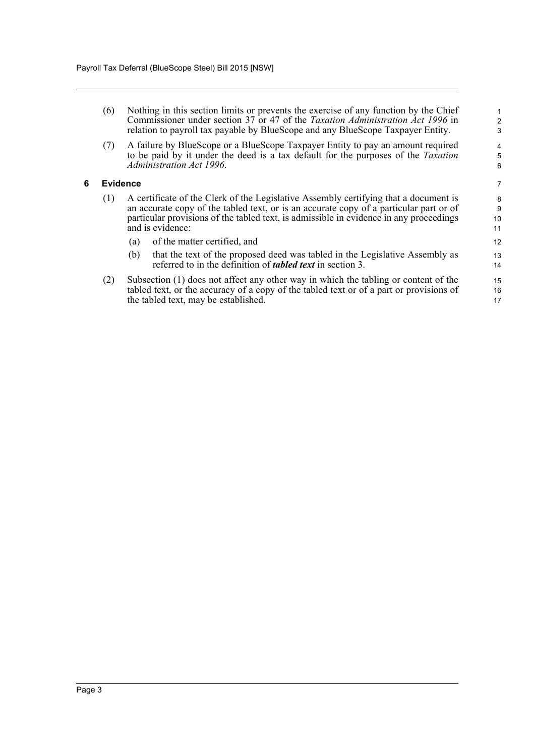| (6) | Nothing in this section limits or prevents the exercise of any function by the Chief  |
|-----|---------------------------------------------------------------------------------------|
|     | Commissioner under section 37 or 47 of the <i>Taxation Administration Act 1996</i> in |
|     | relation to payroll tax payable by BlueScope and any BlueScope Taxpayer Entity.       |

(7) A failure by BlueScope or a BlueScope Taxpayer Entity to pay an amount required to be paid by it under the deed is a tax default for the purposes of the *Taxation Administration Act 1996*.

#### <span id="page-5-0"></span>**6 Evidence**

- (1) A certificate of the Clerk of the Legislative Assembly certifying that a document is an accurate copy of the tabled text, or is an accurate copy of a particular part or of particular provisions of the tabled text, is admissible in evidence in any proceedings and is evidence:
	- (a) of the matter certified, and
	- (b) that the text of the proposed deed was tabled in the Legislative Assembly as referred to in the definition of *tabled text* in section 3.
- (2) Subsection (1) does not affect any other way in which the tabling or content of the tabled text, or the accuracy of a copy of the tabled text or of a part or provisions of the tabled text, may be established.